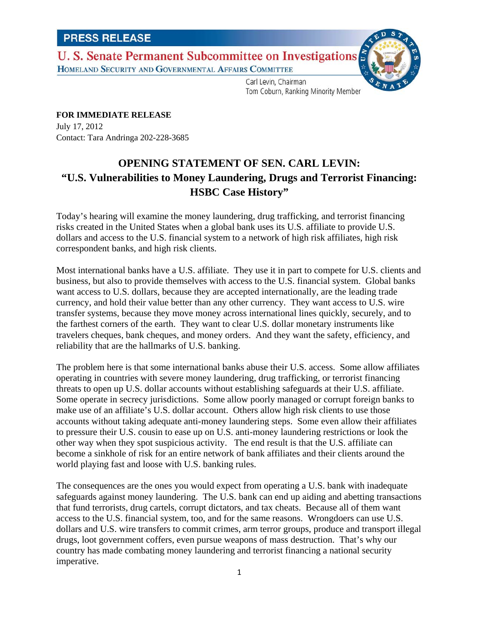## U. S. Senate Permanent Subcommittee on Investigations HOMELAND SECURITY AND GOVERNMENTAL AFFAIRS COMMITTEE



Carl Levin, Chairman Tom Coburn, Ranking Minority Member

**FOR IMMEDIATE RELEASE** July 17, 2012 Contact: Tara Andringa 202-228-3685

## **OPENING STATEMENT OF SEN. CARL LEVIN: "U.S. Vulnerabilities to Money Laundering, Drugs and Terrorist Financing: HSBC Case History"**

Today's hearing will examine the money laundering, drug trafficking, and terrorist financing risks created in the United States when a global bank uses its U.S. affiliate to provide U.S. dollars and access to the U.S. financial system to a network of high risk affiliates, high risk correspondent banks, and high risk clients.

Most international banks have a U.S. affiliate. They use it in part to compete for U.S. clients and business, but also to provide themselves with access to the U.S. financial system. Global banks want access to U.S. dollars, because they are accepted internationally, are the leading trade currency, and hold their value better than any other currency. They want access to U.S. wire transfer systems, because they move money across international lines quickly, securely, and to the farthest corners of the earth. They want to clear U.S. dollar monetary instruments like travelers cheques, bank cheques, and money orders. And they want the safety, efficiency, and reliability that are the hallmarks of U.S. banking.

The problem here is that some international banks abuse their U.S. access. Some allow affiliates operating in countries with severe money laundering, drug trafficking, or terrorist financing threats to open up U.S. dollar accounts without establishing safeguards at their U.S. affiliate. Some operate in secrecy jurisdictions. Some allow poorly managed or corrupt foreign banks to make use of an affiliate's U.S. dollar account. Others allow high risk clients to use those accounts without taking adequate anti-money laundering steps. Some even allow their affiliates to pressure their U.S. cousin to ease up on U.S. anti-money laundering restrictions or look the other way when they spot suspicious activity. The end result is that the U.S. affiliate can become a sinkhole of risk for an entire network of bank affiliates and their clients around the world playing fast and loose with U.S. banking rules.

The consequences are the ones you would expect from operating a U.S. bank with inadequate safeguards against money laundering. The U.S. bank can end up aiding and abetting transactions that fund terrorists, drug cartels, corrupt dictators, and tax cheats. Because all of them want access to the U.S. financial system, too, and for the same reasons. Wrongdoers can use U.S. dollars and U.S. wire transfers to commit crimes, arm terror groups, produce and transport illegal drugs, loot government coffers, even pursue weapons of mass destruction. That's why our country has made combating money laundering and terrorist financing a national security imperative.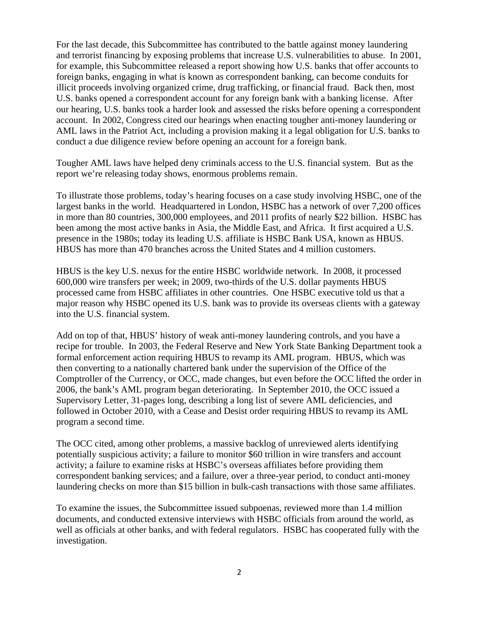For the last decade, this Subcommittee has contributed to the battle against money laundering and terrorist financing by exposing problems that increase U.S. vulnerabilities to abuse. In 2001, for example, this Subcommittee released a report showing how U.S. banks that offer accounts to foreign banks, engaging in what is known as correspondent banking, can become conduits for illicit proceeds involving organized crime, drug trafficking, or financial fraud. Back then, most U.S. banks opened a correspondent account for any foreign bank with a banking license. After our hearing, U.S. banks took a harder look and assessed the risks before opening a correspondent account. In 2002, Congress cited our hearings when enacting tougher anti-money laundering or AML laws in the Patriot Act, including a provision making it a legal obligation for U.S. banks to conduct a due diligence review before opening an account for a foreign bank.

Tougher AML laws have helped deny criminals access to the U.S. financial system. But as the report we're releasing today shows, enormous problems remain.

To illustrate those problems, today's hearing focuses on a case study involving HSBC, one of the largest banks in the world. Headquartered in London, HSBC has a network of over 7,200 offices in more than 80 countries, 300,000 employees, and 2011 profits of nearly \$22 billion. HSBC has been among the most active banks in Asia, the Middle East, and Africa. It first acquired a U.S. presence in the 1980s; today its leading U.S. affiliate is HSBC Bank USA, known as HBUS. HBUS has more than 470 branches across the United States and 4 million customers.

HBUS is the key U.S. nexus for the entire HSBC worldwide network. In 2008, it processed 600,000 wire transfers per week; in 2009, two-thirds of the U.S. dollar payments HBUS processed came from HSBC affiliates in other countries. One HSBC executive told us that a major reason why HSBC opened its U.S. bank was to provide its overseas clients with a gateway into the U.S. financial system.

Add on top of that, HBUS' history of weak anti-money laundering controls, and you have a recipe for trouble. In 2003, the Federal Reserve and New York State Banking Department took a formal enforcement action requiring HBUS to revamp its AML program. HBUS, which was then converting to a nationally chartered bank under the supervision of the Office of the Comptroller of the Currency, or OCC, made changes, but even before the OCC lifted the order in 2006, the bank's AML program began deteriorating. In September 2010, the OCC issued a Supervisory Letter, 31-pages long, describing a long list of severe AML deficiencies, and followed in October 2010, with a Cease and Desist order requiring HBUS to revamp its AML program a second time.

The OCC cited, among other problems, a massive backlog of unreviewed alerts identifying potentially suspicious activity; a failure to monitor \$60 trillion in wire transfers and account activity; a failure to examine risks at HSBC's overseas affiliates before providing them correspondent banking services; and a failure, over a three-year period, to conduct anti-money laundering checks on more than \$15 billion in bulk-cash transactions with those same affiliates.

To examine the issues, the Subcommittee issued subpoenas, reviewed more than 1.4 million documents, and conducted extensive interviews with HSBC officials from around the world, as well as officials at other banks, and with federal regulators. HSBC has cooperated fully with the investigation.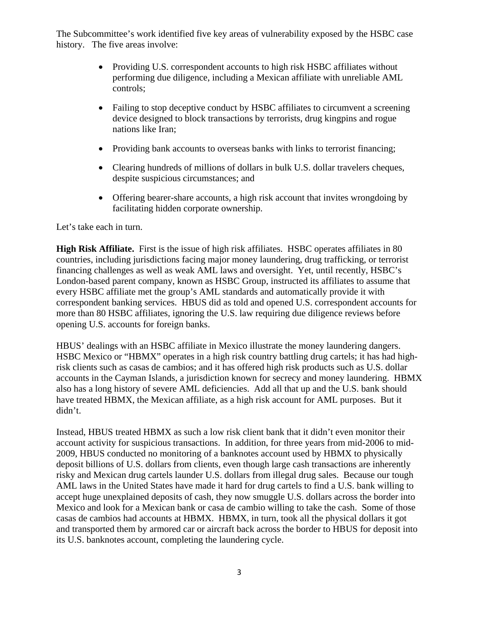The Subcommittee's work identified five key areas of vulnerability exposed by the HSBC case history. The five areas involve:

- Providing U.S. correspondent accounts to high risk HSBC affiliates without performing due diligence, including a Mexican affiliate with unreliable AML controls;
- Failing to stop deceptive conduct by HSBC affiliates to circumvent a screening device designed to block transactions by terrorists, drug kingpins and rogue nations like Iran;
- Providing bank accounts to overseas banks with links to terrorist financing;
- Clearing hundreds of millions of dollars in bulk U.S. dollar travelers cheques, despite suspicious circumstances; and
- Offering bearer-share accounts, a high risk account that invites wrongdoing by facilitating hidden corporate ownership.

Let's take each in turn.

**High Risk Affiliate.** First is the issue of high risk affiliates. HSBC operates affiliates in 80 countries, including jurisdictions facing major money laundering, drug trafficking, or terrorist financing challenges as well as weak AML laws and oversight. Yet, until recently, HSBC's London-based parent company, known as HSBC Group, instructed its affiliates to assume that every HSBC affiliate met the group's AML standards and automatically provide it with correspondent banking services. HBUS did as told and opened U.S. correspondent accounts for more than 80 HSBC affiliates, ignoring the U.S. law requiring due diligence reviews before opening U.S. accounts for foreign banks.

HBUS' dealings with an HSBC affiliate in Mexico illustrate the money laundering dangers. HSBC Mexico or "HBMX" operates in a high risk country battling drug cartels; it has had highrisk clients such as casas de cambios; and it has offered high risk products such as U.S. dollar accounts in the Cayman Islands, a jurisdiction known for secrecy and money laundering. HBMX also has a long history of severe AML deficiencies. Add all that up and the U.S. bank should have treated HBMX, the Mexican affiliate, as a high risk account for AML purposes. But it didn't.

Instead, HBUS treated HBMX as such a low risk client bank that it didn't even monitor their account activity for suspicious transactions. In addition, for three years from mid-2006 to mid-2009, HBUS conducted no monitoring of a banknotes account used by HBMX to physically deposit billions of U.S. dollars from clients, even though large cash transactions are inherently risky and Mexican drug cartels launder U.S. dollars from illegal drug sales. Because our tough AML laws in the United States have made it hard for drug cartels to find a U.S. bank willing to accept huge unexplained deposits of cash, they now smuggle U.S. dollars across the border into Mexico and look for a Mexican bank or casa de cambio willing to take the cash. Some of those casas de cambios had accounts at HBMX. HBMX, in turn, took all the physical dollars it got and transported them by armored car or aircraft back across the border to HBUS for deposit into its U.S. banknotes account, completing the laundering cycle.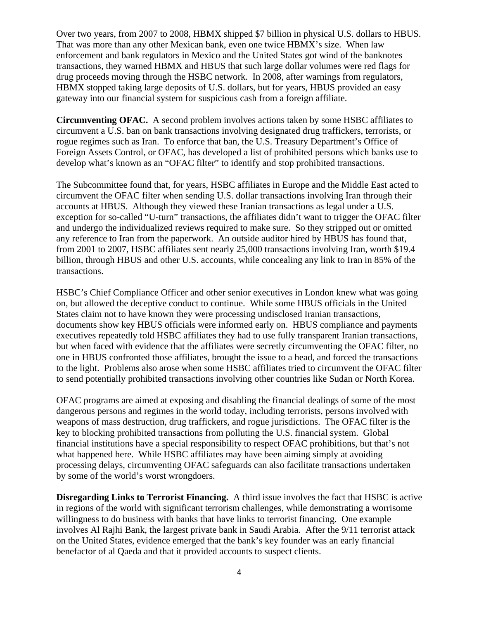Over two years, from 2007 to 2008, HBMX shipped \$7 billion in physical U.S. dollars to HBUS. That was more than any other Mexican bank, even one twice HBMX's size. When law enforcement and bank regulators in Mexico and the United States got wind of the banknotes transactions, they warned HBMX and HBUS that such large dollar volumes were red flags for drug proceeds moving through the HSBC network. In 2008, after warnings from regulators, HBMX stopped taking large deposits of U.S. dollars, but for years, HBUS provided an easy gateway into our financial system for suspicious cash from a foreign affiliate.

**Circumventing OFAC.** A second problem involves actions taken by some HSBC affiliates to circumvent a U.S. ban on bank transactions involving designated drug traffickers, terrorists, or rogue regimes such as Iran. To enforce that ban, the U.S. Treasury Department's Office of Foreign Assets Control, or OFAC, has developed a list of prohibited persons which banks use to develop what's known as an "OFAC filter" to identify and stop prohibited transactions.

The Subcommittee found that, for years, HSBC affiliates in Europe and the Middle East acted to circumvent the OFAC filter when sending U.S. dollar transactions involving Iran through their accounts at HBUS. Although they viewed these Iranian transactions as legal under a U.S. exception for so-called "U-turn" transactions, the affiliates didn't want to trigger the OFAC filter and undergo the individualized reviews required to make sure. So they stripped out or omitted any reference to Iran from the paperwork. An outside auditor hired by HBUS has found that, from 2001 to 2007, HSBC affiliates sent nearly 25,000 transactions involving Iran, worth \$19.4 billion, through HBUS and other U.S. accounts, while concealing any link to Iran in 85% of the transactions.

HSBC's Chief Compliance Officer and other senior executives in London knew what was going on, but allowed the deceptive conduct to continue. While some HBUS officials in the United States claim not to have known they were processing undisclosed Iranian transactions, documents show key HBUS officials were informed early on. HBUS compliance and payments executives repeatedly told HSBC affiliates they had to use fully transparent Iranian transactions, but when faced with evidence that the affiliates were secretly circumventing the OFAC filter, no one in HBUS confronted those affiliates, brought the issue to a head, and forced the transactions to the light. Problems also arose when some HSBC affiliates tried to circumvent the OFAC filter to send potentially prohibited transactions involving other countries like Sudan or North Korea.

OFAC programs are aimed at exposing and disabling the financial dealings of some of the most dangerous persons and regimes in the world today, including terrorists, persons involved with weapons of mass destruction, drug traffickers, and rogue jurisdictions. The OFAC filter is the key to blocking prohibited transactions from polluting the U.S. financial system. Global financial institutions have a special responsibility to respect OFAC prohibitions, but that's not what happened here. While HSBC affiliates may have been aiming simply at avoiding processing delays, circumventing OFAC safeguards can also facilitate transactions undertaken by some of the world's worst wrongdoers.

**Disregarding Links to Terrorist Financing.** A third issue involves the fact that HSBC is active in regions of the world with significant terrorism challenges, while demonstrating a worrisome willingness to do business with banks that have links to terrorist financing. One example involves Al Rajhi Bank, the largest private bank in Saudi Arabia. After the 9/11 terrorist attack on the United States, evidence emerged that the bank's key founder was an early financial benefactor of al Qaeda and that it provided accounts to suspect clients.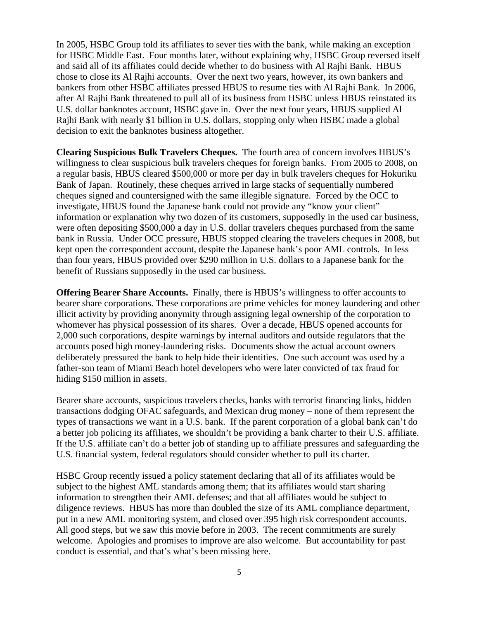In 2005, HSBC Group told its affiliates to sever ties with the bank, while making an exception for HSBC Middle East. Four months later, without explaining why, HSBC Group reversed itself and said all of its affiliates could decide whether to do business with Al Rajhi Bank. HBUS chose to close its Al Rajhi accounts. Over the next two years, however, its own bankers and bankers from other HSBC affiliates pressed HBUS to resume ties with Al Rajhi Bank. In 2006, after Al Rajhi Bank threatened to pull all of its business from HSBC unless HBUS reinstated its U.S. dollar banknotes account, HSBC gave in. Over the next four years, HBUS supplied Al Rajhi Bank with nearly \$1 billion in U.S. dollars, stopping only when HSBC made a global decision to exit the banknotes business altogether.

**Clearing Suspicious Bulk Travelers Cheques.** The fourth area of concern involves HBUS's willingness to clear suspicious bulk travelers cheques for foreign banks. From 2005 to 2008, on a regular basis, HBUS cleared \$500,000 or more per day in bulk travelers cheques for Hokuriku Bank of Japan. Routinely, these cheques arrived in large stacks of sequentially numbered cheques signed and countersigned with the same illegible signature. Forced by the OCC to investigate, HBUS found the Japanese bank could not provide any "know your client" information or explanation why two dozen of its customers, supposedly in the used car business, were often depositing \$500,000 a day in U.S. dollar travelers cheques purchased from the same bank in Russia. Under OCC pressure, HBUS stopped clearing the travelers cheques in 2008, but kept open the correspondent account, despite the Japanese bank's poor AML controls. In less than four years, HBUS provided over \$290 million in U.S. dollars to a Japanese bank for the benefit of Russians supposedly in the used car business.

**Offering Bearer Share Accounts.** Finally, there is HBUS's willingness to offer accounts to bearer share corporations. These corporations are prime vehicles for money laundering and other illicit activity by providing anonymity through assigning legal ownership of the corporation to whomever has physical possession of its shares. Over a decade, HBUS opened accounts for 2,000 such corporations, despite warnings by internal auditors and outside regulators that the accounts posed high money-laundering risks. Documents show the actual account owners deliberately pressured the bank to help hide their identities. One such account was used by a father-son team of Miami Beach hotel developers who were later convicted of tax fraud for hiding \$150 million in assets.

Bearer share accounts, suspicious travelers checks, banks with terrorist financing links, hidden transactions dodging OFAC safeguards, and Mexican drug money – none of them represent the types of transactions we want in a U.S. bank. If the parent corporation of a global bank can't do a better job policing its affiliates, we shouldn't be providing a bank charter to their U.S. affiliate. If the U.S. affiliate can't do a better job of standing up to affiliate pressures and safeguarding the U.S. financial system, federal regulators should consider whether to pull its charter.

HSBC Group recently issued a policy statement declaring that all of its affiliates would be subject to the highest AML standards among them; that its affiliates would start sharing information to strengthen their AML defenses; and that all affiliates would be subject to diligence reviews. HBUS has more than doubled the size of its AML compliance department, put in a new AML monitoring system, and closed over 395 high risk correspondent accounts. All good steps, but we saw this movie before in 2003. The recent commitments are surely welcome. Apologies and promises to improve are also welcome. But accountability for past conduct is essential, and that's what's been missing here.